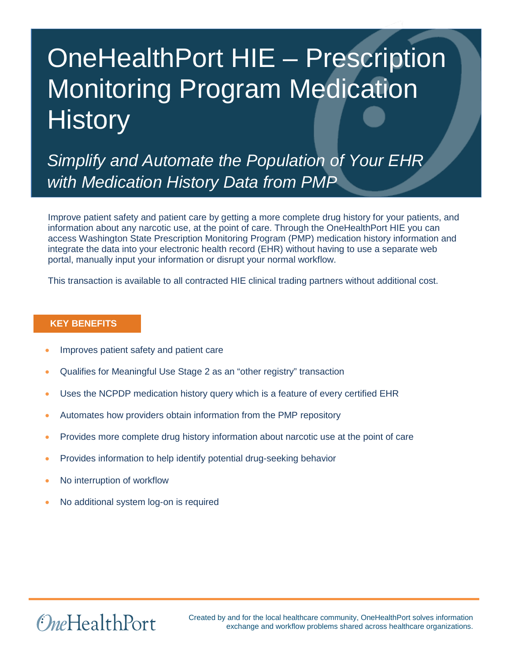# OneHealthPort HIE – Prescription Monitoring Program Medication **History**

*Simplify and Automate the Population of Your EHR with Medication History Data from PMP*

Improve patient safety and patient care by getting a more complete drug history for your patients, and information about any narcotic use, at the point of care. Through the OneHealthPort HIE you can access Washington State Prescription Monitoring Program (PMP) medication history information and integrate the data into your electronic health record (EHR) without having to use a separate web portal, manually input your information or disrupt your normal workflow.

This transaction is available to all contracted HIE clinical trading partners without additional cost.

#### **KEY BENEFITS**

- Improves patient safety and patient care
- Qualifies for Meaningful Use Stage 2 as an "other registry" transaction
- Uses the NCPDP medication history query which is a feature of every certified EHR
- Automates how providers obtain information from the PMP repository
- Provides more complete drug history information about narcotic use at the point of care
- Provides information to help identify potential drug-seeking behavior
- No interruption of workflow
- No additional system log-on is required

## *OneHealthPort*

Created by and for the local healthcare community, OneHealthPort solves information exchange and workflow problems shared across healthcare organizations.